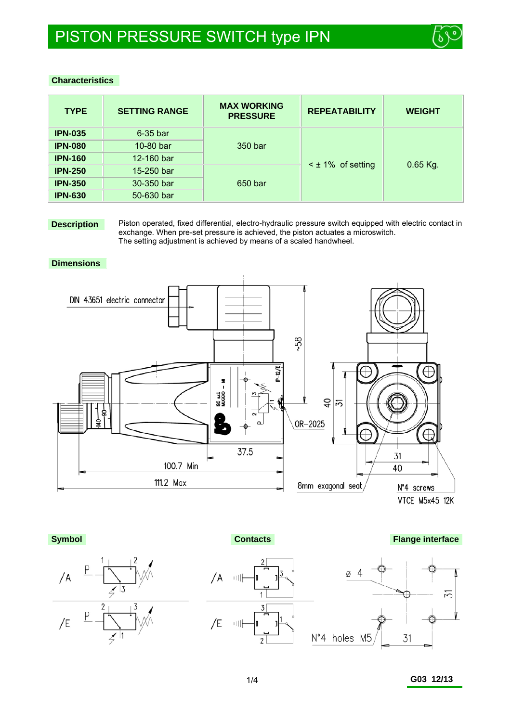

## **Characteristics**

| <b>TYPE</b>    | <b>SETTING RANGE</b> | <b>MAX WORKING</b><br><b>PRESSURE</b> | <b>REPEATABILITY</b>   | <b>WEIGHT</b> |  |
|----------------|----------------------|---------------------------------------|------------------------|---------------|--|
| <b>IPN-035</b> | $6-35$ bar           |                                       |                        |               |  |
| <b>IPN-080</b> | 10-80 bar            | 350 bar                               |                        | $0.65$ Kg.    |  |
| <b>IPN-160</b> | 12-160 bar           |                                       | $\leq$ ± 1% of setting |               |  |
| <b>IPN-250</b> | 15-250 bar           |                                       |                        |               |  |
| <b>IPN-350</b> | 30-350 bar           | 650 bar                               |                        |               |  |
| <b>IPN-630</b> | 50-630 bar           |                                       |                        |               |  |

**Description** Piston operated, fixed differential, electro-hydraulic pressure switch equipped with electric contact in exchange. When pre-set pressure is achieved, the piston actuates a microswitch. The setting adjustment is achieved by means of a scaled handwheel.

#### **Dimensions**



VTCE M5x45 12K



**Contacts Contacts Flange interface** 



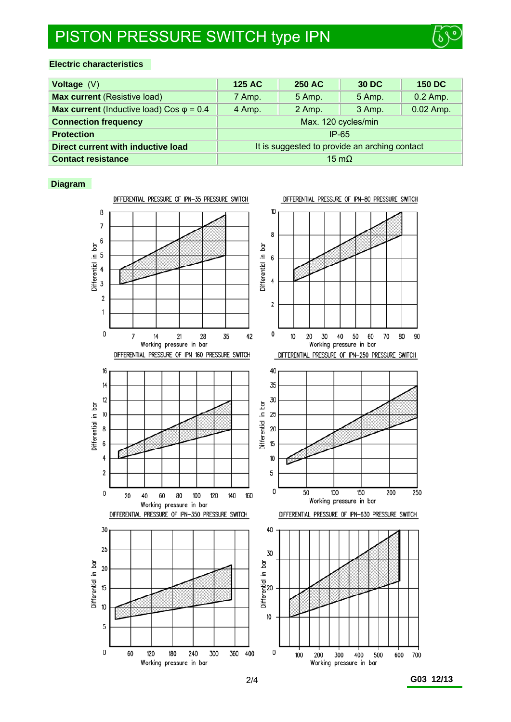# PISTON PRESSURE SWITCH type IPN



## **Electric characteristics**

| Voltage $(V)$                                           | <b>125 AC</b>                                 | <b>250 AC</b> | 30 DC  | <b>150 DC</b> |  |
|---------------------------------------------------------|-----------------------------------------------|---------------|--------|---------------|--|
| <b>Max current (Resistive load)</b>                     | 7 Amp.                                        | 5 Amp.        | 5 Amp. | $0.2$ Amp.    |  |
| <b>Max current</b> (Inductive load) Cos $\varphi$ = 0.4 | 4 Amp.                                        | 2 Amp.        | 3 Amp. | 0.02 Amp.     |  |
| <b>Connection frequency</b>                             | Max. 120 cycles/min                           |               |        |               |  |
| <b>Protection</b>                                       | $IP-65$                                       |               |        |               |  |
| Direct current with inductive load                      | It is suggested to provide an arching contact |               |        |               |  |
| <b>Contact resistance</b>                               | $15 \text{ mO}$                               |               |        |               |  |

### **Diagram**

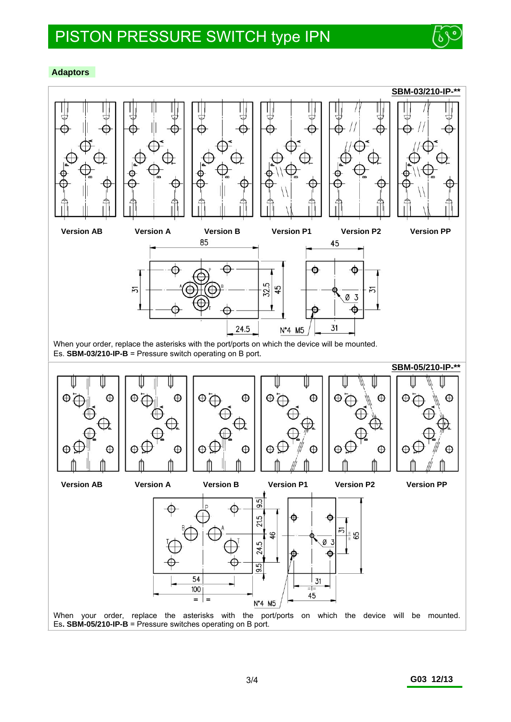

#### **Adaptors**